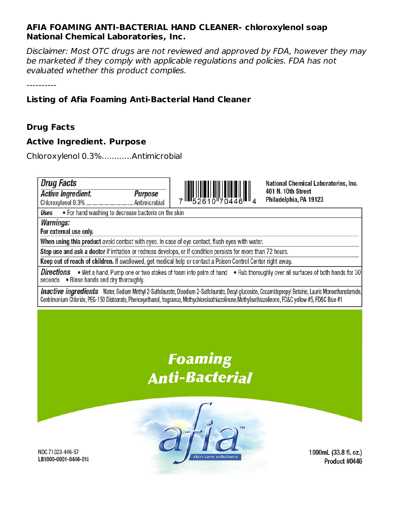#### **AFIA FOAMING ANTI-BACTERIAL HAND CLEANER- chloroxylenol soap National Chemical Laboratories, Inc.**

Disclaimer: Most OTC drugs are not reviewed and approved by FDA, however they may be marketed if they comply with applicable regulations and policies. FDA has not evaluated whether this product complies.

----------

### **Listing of Afia Foaming Anti-Bacterial Hand Cleaner**

#### **Drug Facts**

#### **Active Ingredient. Purpose**

Chloroxylenol 0.3%............Antimicrobial



**National Chemical Laboratories, Inc.** 401 N. 10th Street Philadelphia, PA 19123

Uses • For hand washing to decrease bacteria on the skin

**Warnings:** 

**Drug Facts** 

For external use only.

**Active Ingredient.** 

When using this product avoid contact with eyes. In case of eye contact, flush eyes with water.

Purpose

Stop use and ask a doctor if irritation or redness develops, or if condition persists for more than 72 hours.

Keep out of reach of children. If swallowed, get medical help or contact a Poison Control Center right away.

**Directions** . Wet a hand. Pump one or two stokes of foam into palm of hand . Rub thoroughly over all surfaces of both hands for 30 seconds . Rinse hands and dry thoroughly.

**Inactive ingredients** Water, Sodium Methyl 2-Sulfolaurate, Disodium 2-Sulfolaurate, Decyl glucoside, Cocamidopropyl Betaine, Lauric Monoethanolamide, Centrimonium Chloride, PEG-150 Distearate, Phenoxyethanol, fragrance, Methychloroisothiazolinone, Methylisothiazolinone, FD&C yellow #5, FD&C Blue #1

## **Foaming Anti-Bacterial**



1000mL (33.8 fl. oz.) Product #0446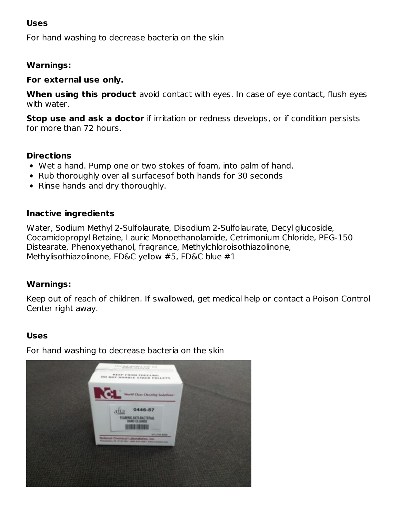#### **Uses**

For hand washing to decrease bacteria on the skin

#### **Warnings:**

#### **For external use only.**

**When using this product** avoid contact with eyes. In case of eye contact, flush eyes with water.

**Stop use and ask a doctor** if irritation or redness develops, or if condition persists for more than 72 hours.

#### **Directions**

- Wet a hand. Pump one or two stokes of foam, into palm of hand.
- Rub thoroughly over all surfaces of both hands for 30 seconds
- Rinse hands and dry thoroughly.

#### **Inactive ingredients**

Water, Sodium Methyl 2-Sulfolaurate, Disodium 2-Sulfolaurate, Decyl glucoside, Cocamidopropyl Betaine, Lauric Monoethanolamide, Cetrimonium Chloride, PEG-150 Distearate, Phenoxyethanol, fragrance, Methylchloroisothiazolinone, Methylisothiazolinone, FD&C yellow #5, FD&C blue #1

#### **Warnings:**

Keep out of reach of children. If swallowed, get medical help or contact a Poison Control Center right away.

#### **Uses**

For hand washing to decrease bacteria on the skin

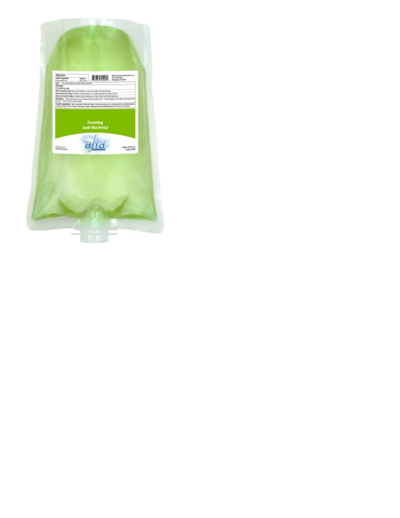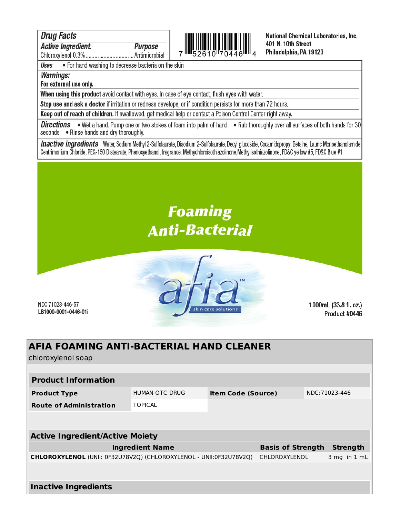#### **Drug Facts**

**Active Ingredient.** 

Purpose 



National Chemical Laboratories, Inc. 401 N. 10th Street Philadelphia, PA 19123

. For hand washing to decrease bacteria on the skin **Uses** 

#### **Warnings:**

#### For external use only.

When using this product avoid contact with eyes. In case of eye contact, flush eyes with water.

Stop use and ask a doctor if irritation or redness develops, or if condition persists for more than 72 hours.

Keep out of reach of children. If swallowed, get medical help or contact a Poison Control Center right away.

**Directions** . Wet a hand. Pump one or two stokes of foam into palm of hand . Rub thoroughly over all surfaces of both hands for 30 seconds . Rinse hands and dry thoroughly.

Inactive ingredients Water, Sodium Methyl 2-Sulfolaurate, Disodium 2-Sulfolaurate, Decyl glucoside, Cocamidopropyl Betaine, Lauric Monoethanolamide, Centrimonium Chloride, PEG-150 Distearate, Phenoxyethanol, fragrance, Methychloroisothiazolinone, Methylisothiazolinone, FD&C vellow #5, FD&C Blue #1

# **Foaming Anti-Bacterial**



NDC 71023-446-57 LB1000-0001-0446-01i

1000mL (33.8 fl. oz.) Product #0446

### **AFIA FOAMING ANTI-BACTERIAL HAND CLEANER**

chloroxylenol soap

| <b>Product Information</b>                                         |                |                           |                          |                |  |                 |
|--------------------------------------------------------------------|----------------|---------------------------|--------------------------|----------------|--|-----------------|
| <b>Product Type</b>                                                | HUMAN OTC DRUG | <b>Item Code (Source)</b> |                          | NDC: 71023-446 |  |                 |
| <b>Route of Administration</b>                                     | <b>TOPICAL</b> |                           |                          |                |  |                 |
|                                                                    |                |                           |                          |                |  |                 |
| <b>Active Ingredient/Active Moiety</b>                             |                |                           |                          |                |  |                 |
|                                                                    |                |                           |                          |                |  |                 |
| <b>Ingredient Name</b>                                             |                |                           | <b>Basis of Strength</b> |                |  | <b>Strength</b> |
| CHLOROXYLENOL (UNII: 0F32U78V2O) (CHLOROXYLENOL - UNII:0F32U78V2O) |                |                           | CHLOROXYLENOL            |                |  | 3 mg in 1 mL    |
|                                                                    |                |                           |                          |                |  |                 |
| <b>Inactive Ingredients</b>                                        |                |                           |                          |                |  |                 |